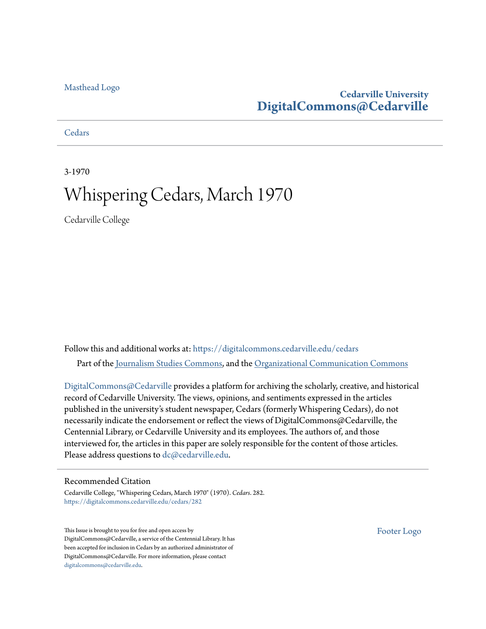#### [Masthead Logo](http://www.cedarville.edu/?utm_source=digitalcommons.cedarville.edu%2Fcedars%2F282&utm_medium=PDF&utm_campaign=PDFCoverPages)

#### **Cedarville University [DigitalCommons@Cedarville](https://digitalcommons.cedarville.edu?utm_source=digitalcommons.cedarville.edu%2Fcedars%2F282&utm_medium=PDF&utm_campaign=PDFCoverPages)**

#### **[Cedars](https://digitalcommons.cedarville.edu/cedars?utm_source=digitalcommons.cedarville.edu%2Fcedars%2F282&utm_medium=PDF&utm_campaign=PDFCoverPages)**

3-1970

## Whispering Cedars, March 1970

Cedarville College

Follow this and additional works at: [https://digitalcommons.cedarville.edu/cedars](https://digitalcommons.cedarville.edu/cedars?utm_source=digitalcommons.cedarville.edu%2Fcedars%2F282&utm_medium=PDF&utm_campaign=PDFCoverPages) Part of the [Journalism Studies Commons](http://network.bepress.com/hgg/discipline/333?utm_source=digitalcommons.cedarville.edu%2Fcedars%2F282&utm_medium=PDF&utm_campaign=PDFCoverPages), and the [Organizational Communication Commons](http://network.bepress.com/hgg/discipline/335?utm_source=digitalcommons.cedarville.edu%2Fcedars%2F282&utm_medium=PDF&utm_campaign=PDFCoverPages)

[DigitalCommons@Cedarville](http://digitalcommons.cedarville.edu/) provides a platform for archiving the scholarly, creative, and historical record of Cedarville University. The views, opinions, and sentiments expressed in the articles published in the university's student newspaper, Cedars (formerly Whispering Cedars), do not necessarily indicate the endorsement or reflect the views of DigitalCommons@Cedarville, the Centennial Library, or Cedarville University and its employees. The authors of, and those interviewed for, the articles in this paper are solely responsible for the content of those articles. Please address questions to [dc@cedarville.edu.](mailto:dc@cedarville.edu)

#### Recommended Citation

Cedarville College, "Whispering Cedars, March 1970" (1970). *Cedars*. 282. [https://digitalcommons.cedarville.edu/cedars/282](https://digitalcommons.cedarville.edu/cedars/282?utm_source=digitalcommons.cedarville.edu%2Fcedars%2F282&utm_medium=PDF&utm_campaign=PDFCoverPages)

This Issue is brought to you for free and open access by DigitalCommons@Cedarville, a service of the Centennial Library. It has been accepted for inclusion in Cedars by an authorized administrator of DigitalCommons@Cedarville. For more information, please contact [digitalcommons@cedarville.edu](mailto:digitalcommons@cedarville.edu).

[Footer Logo](http://www.cedarville.edu/Academics/Library.aspx?utm_source=digitalcommons.cedarville.edu%2Fcedars%2F282&utm_medium=PDF&utm_campaign=PDFCoverPages)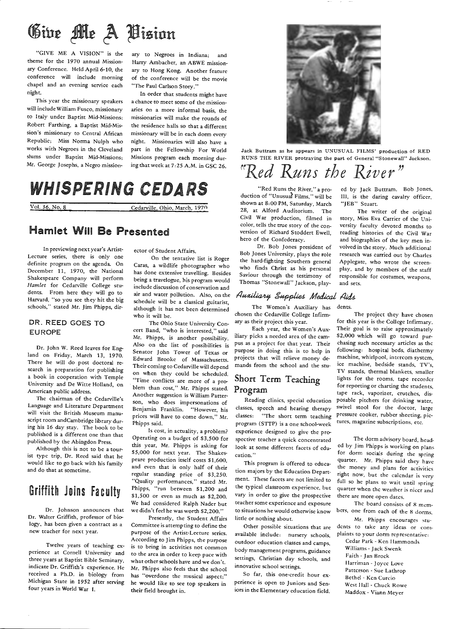# Give Me A Vision

"GIVE ME A VISION" is the theme for the 1970 annual Missionary Conference. Held April 6-10, the conference will include morning chapel and an evening service each night.

This year the missionary speakers will include William Fusco, missionary to Italy under Baptist Mid-Missions; Robert Farthing, a Baptist Mid-Mission's missionary to Central African Republic; Miss Norma Nulph who works with Negroes in the Cleveland slums under Baptist Mid-Missions; Mr. George Josephs, a Negro mission-

ary to Negroes in Indiana; and Harry Ambacher, an ABWE mission ary to Hong Kong. Another feature of the conference will be the movie "The Paul Carlson Story."

In order that students might have a chance to meet some of the mission aries on a more informal basis, the missionaries will make the rounds of the residence halls so that a different missionary will be in each dorm every night. Missionaries will also have a part in the Fellowship For World Missions program each morning dur ing that week at 7: 25 A.M. in GSC 26.

## WHISPERING CEDARS

Vol. 36, No. 8 Cedarville, Ohio, March, 1970

#### Hamlet Will Be Presented

In previewing next year's Artist-Lecture series, there is only one definite program on the agenda. On December 11, 1970, the National Shakespeare Company will perform *Hamlet* for Cedarville College students. From here they will go to Harvard, "so you see they hit the big schools," stated Mr. Jim Phipps, dir-

#### DR. REED GOES TO EUROPE

Dr. John W. Reed leaves for England on Friday, March 13, 1970. There he will do post doctoral research in preparation for publishing <sup>a</sup>book in cooperation with Temple University and De Witte Holland, on American public address.

The chairman of the Cedarville's Language and Literature Department will visit the British Museum manuscript room and Cambridge library during his 16 day stay. The book to be published is a different one than that published by the Abingdon Press.

Although this is not to be a tourist type trip, Dr. Reed said that he would like to go back with his family and do that at sometime.

## Griffith Joins Faculty

Dr. Johnson announces that Dr. Walter Griffith, professor of biology, has been given a contract as a new teacher for next year.

Twelve years of teaching experience at Cornell University and three years at Baptist Bible Seminary, indicate Dr. Griffith's experience. He received a Ph.D. in biology from Michigan State in 1952 after serving four years in World War I.

ector of Student Affairs.

On the tentative list is Roger Caras, a wildlife photographer who has done extensive travelling. Besides being a travelogue, his program would include discussion of conservation and air and water pollution. Also, on the schedule will be a classical guitarist, although it has not been determined who it will be.

The Ohio State Universiry Concert Band, "who is interested," said Mr. Phipps, is another possibility. Also on the list of possibilities is Senator John Tower of Texas or Edward Brooke of Massachusetts. Their coming to Cedarville will depend on when they could be scheduled. "Time conflicts are more of a problem than cost," Mr. Phipps stated. Another suggestion is William Patterson, who does impersonations of Benjamin Franklin. "However, his prices will have to come down," Mr. Phipps said.

ls cost, in actuality, a problem? Operating on a budget of \$3,500 for this year, Mr. Phipps is asking for \$5,000 for next year. The Shakespeare production itself costs \$1,600, and even that is only half of their regular standing price of \$3,250. "Quality performances," stated Mr. Phipps, "run between \$1,200 and \$1,500 or even as much as \$2,200. We had considered Ralph Nader but we didn't feel he was worth \$2,200."

Presently, the Student Affairs Committee is attempting to define the purpose of the Artist-Lecture series. According to Jim Phipps, the purpose is to bring in activities not common to the area in order to keep pace with what other schools have and we don't. Mr. Phipps also feels that the school has "overdone the musical aspect;" he would like to see top speakers in their field brought in.



Jack Buttram as he appears in UNUSUAL FILMS' production of RED RUNS THE RIVER protraying the part of General "Stonewall" Jackson.

# $f$ Red Runs the River"

"Red Runs the River," a production of "Unusuaf Films," will be shown at 8:00 PM, Saturday, March 28, at Alford Auditorium. The Civil War production, filmed in color, tells the true story of the conversion of Richard Stoddert Ewell, hero of the Confederacy.

Dr. Bob Jones president of Bob Jones University, plays the role the hard-fighting Southern general who finds Christ as his personal Saviour through the testimony of Thomas "Stonewall" Jackson, play-

#### Auxiliary Supplies Medical Aids

The Women's Auxiliary has chosen the Cedarville College Infirmary as their project this year.

Each year, the Women's Auxiliary picks a needed area of the campus as a project for that year. Their purpose in doing this is to help in projects that will relieve money demands from the school and the stu-

#### Short Term Teaching Program

Reading clinics, special education classes, speech and hearing therapy classes: "The short term teaching program (STTP) is a one school-week experience designed to give the prospective teacher a quick concentrated look at some different facets of edu**cation."** 

This program is offered to education majors by the Education Department. These facets are not limited to the typical classroom experience, but vary in order to give the prospective teacher some experience and exposure to situations he would otherwise know little or nothing about.

Other possible situations that are available include: nursery schools, outdoor education classes and camps, body management programs, guidance settings, Christian day schools, and innovative school settings.

So far, this one-credit hour experience is open to Juniors and Seniors in the Elementary education field. ed by Jack Buttram. Bob Jones, III, is the daring cavalry officer, "JEB" Stuart.

The writer of the original story, Miss Eva Carrier of the University faculty devoted months to reading histories of the Civil War and biographies of the key men involved in the story. Much additional research was carried out by Charles Applegate, who wrote the screenplay, and by members of the staff responsible for costumes, weapons, and sets.

The project they have chosen

dents.

for this year is the College Infirmary. Their goal is to raise approximately \$2,000 which will go toward purchasing such necessary articles as the following: hospital beds, diathermy machine, whirlpool, intercom system, ice machine, bedside stands, TV's, TV stands, thermal blankets, smaller lights for the rooms, tape recorder for reporting or charting the students, tape rack, vaporizer, crutches, disposable pitchers for drinking water, swivel stool for the doctor, large pressure cooker, rubber sheeting, pictures, magazine subscriptions, etc.

The dorm advisory board, headed by Jim Phipps is working on plans for dorm socials during the spring quarter. Mr. Phipps said they have the money and plans for activities right now, but the calendar is very full so he plans to wait until spring quarter when the weather is nicer and there are more open dates.

The board consists of 8 members, one from each of the 8 dorms.

Mr. Phipps encourages students to take any ideas or com-

<sup>p</sup>laints to your dorm representative: Cedar Park - Ken Hammonds Williams - Jack Swenk

Faith- Jan Brock Harriman - Joyce Love Patterson - Sue Lathrop

Bethel - Ken Curcio

West Ila!! - Chuck Rowe Maddox - Viano Meyer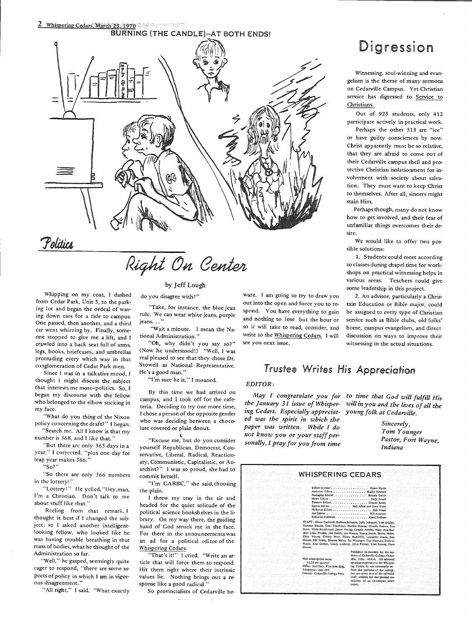# 2 Whispering Cedars, March 25, 1970 BURNING (THE CANDLE)--AT BOTH ENDS!  $\left( \begin{matrix} f(x,y) \\ \vdots \\ f(x,y) \end{matrix} \right)$ l~~

Politics

# Right On Center

#### by Jeff Lough

do you disagree with?"

Whipping on my coat, I dashed from Cedar Park, Unit 5, to the parking lot and began the ordeal of waving down cars for a ride to campus. One passed, then another, and a third car went whizzing by. Finally, someone stopped to give me a lift, and I crawled into a back seat full of arms, legs, books, briefcases, and umbrellas protruding every which way in that conglomeration of Cedar Park men.

Since I was in a talkative mood, <sup>I</sup> thought I might discuss the subject that interests me most-politics. So, I began my discourse with the fellow who belonged to the elbow sticking in my face.

"What do you thing of the Nixon policy concerning the draft?" I began. "Search me. All I know is that my

number is 368, and I like that."

"But there arc only 365 days in a year," I corrected, "plus one day for leap year makes 366."

"So?"

"So there are only 366 numbers in the lottery!

"Lottery!" He yelled. "Hey,man, I'm a Christian. Don't talk to me about stuff like that."

Reeling from that remark, I thought it best if I changed the subject; so I asked another intelligemlooking fellow, who looked like he was having trouble breathing in that mass of bodies, what he thought of the Administration so far.

"Well," he gasped, seemingly quite eager to respond, "there are some aspects of policy in which I am in vigorous disagreement."

"All right." I said. "What exactly

"Take, for instance, the blue jean

rule. We can wear white jeans, purple **jeans ... ''**  "Wait a minute. I mean the Na-

tional Administration."

"Oh, why didn't you say so?" (Now he understood!) "Well, I was real pleased to see that they chose Dr. Stowell as National Representative. He's a good man."

"I'm sure he is," I moaned

By this time we had arrived on campus, and I took off for the cafeteria. Deciding to try one more time, <sup>I</sup>chose <sup>a</sup>person of the opposite gender who was deciding between a chocolate covered or plain donut.

,-; "Excuse me, but do you consider yourself Republican, Democrat, Conservative, Liberal, Radical, Reactionary, Communistic, Capitalistic, or Anarchist?" I was so proud, she had to commit herself.

"I'm GARBC," she said, choosing the plain.

<sup>I</sup>threw my tray in the air and headed for the quiet solitude of the political science bookshelves in the library. On my way there, the guiding hand of God struck me in the face. For there in the announcements was an ad for a political editor of the Whispering Cedars.

"That's it!" I cried. "Write an article that will force them to respond. Hit them right where their intrinsic values lie. Nothing brings out a response like a good radical."

So provincialists of Cedarville be-

#### ware. I am going to try to draw you 2. An advisor, particularly a Chris-<br>out into the open and force you to re-<br>tain Education or Bible major, could out into the open and force you to re- tain Education or Bible major, could spond. You have everything to gain be assigned to every type of Christian<br>and nothing to lose but the hour or service such as Bible clubs, old folks' so it will take to read, consider, and home, campus evangelism, and direct write to the Whispering Cedars. I will discussion on ways to improve their

## Digression

Witnessing, soul-winning and evan gelism is the theme of many sermons on Cedarville Campus. Yet Christian service has digressed to Service to Christians.

Out of 925 students, only 412 participate actively in practical work.

Perhaps the other 513 are "ice" or have guilty consciences by now. Christ apparently must be so relative, that they are afraid to come out of their Cedarville campus shell and pro tective Christian isolationment for in volvement with society about salva tion. They must want to keep Christ to themselves. After all, sinners might stain Him.

Perhaps though, many do not know how to get involved, and their fear of unfamiliar things overcomes their de sire. We would like to offer two pos-

sible solutions:

1. Students could meet according to classes during chapel time for work shops on practical witnessing helps in various areas. Teachers could give some leadership in this project.

service such as Bible clubs, old folks' see you next issue. witnessing in the actual situations.

#### Trustee *Writes His Appreciation*

#### *EDITOR:*

*May I congratulate you for the January 31 issue of Whisper ing Cedars. Especially appreciat ed was the spirit in which the paper was written. While I do not know you or your staff per-* May 1 congratulate you for to time that God will fulfill His<br>the January 31 issue of Whisper- will in you and the lives of all the<br>ing Cedars. Especially appreciat- young folk at Cedarville.<br>ed was the spirit in which the<br>

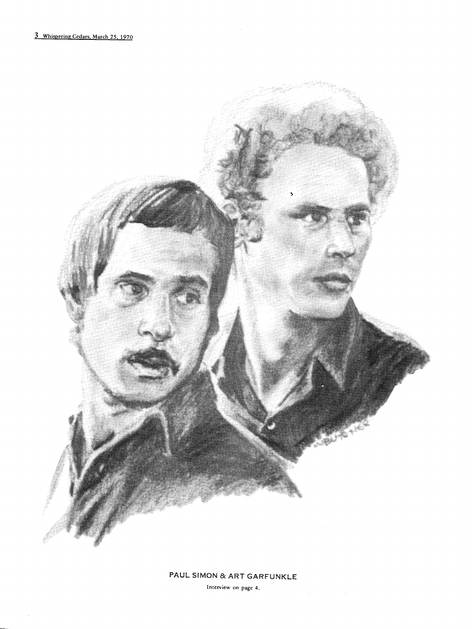$\bar{.}$ 



#### PAUL SIMON & ART GARFUNKLE

Interview on page 4.

 $\Delta\phi$ 

 $\sim$   $\sim$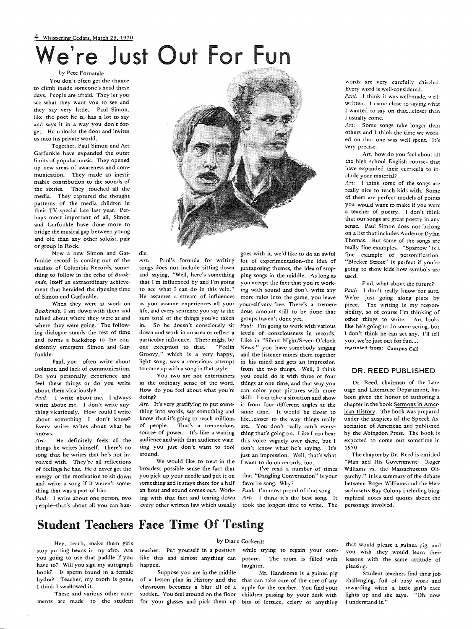## 4 Whispering Cedars, March 25, 1970 'e're Just Out For Fun

#### by Pete Fornatale

You don't often get the chance to climb inside someone's head these days. People are afraid. They let you sec what they want you to see and they say very little. Paul Simon, like the poet he is, has a lot to say and says it in a way you don't forget. He unlocks the door and invites us into his private world.

Together, Paul Simon and Art Garfunkle have expanded the outer limits of popular music. They opened up new areas of awareness and communication. They made an inestimable contribution to the sounds of the sixties. They touched all the media. They captured the thought patterns of the media children in their TV special late last year. Perhaps most important of all, Simon and Garfunkle have done more to bridge the musical gap between young and old than any other soloist, pair or group in Rock.

Now a new Simon and Garfunkle record is coming out of the studios of Columbia Records, something to follow in the echo of *Bookends,* itself an extraordinary achievement that heralded the ripening time of Simon and Garfunkle.

When they were at work on *Bookends,* I sat down with them and talked about where they were at and where they were going. The following dialogue stands the test of time and forms a backdrop to the consistently emergent Simon and Garfunkle.

Paul, you often write about isolation and lack of communication. Do you personally experience and feel these things or do you write about them vicariously?

*Paul:* I write about me. I always write about me. I don't write anything vicariously. How could I write about something I don't know? Every writer writes about what he knows.

*Art:* He definitely feels all the things he writes himself. There's no song that he writes that he's not involved with. They're all reflections of feelings he has. He'd never get the energy or the motivation to sit down and write a song if it weren't something that was a part of him.

*Paul:* I write about one person, two people--that's about all you can han-



Art: Paul's formula for writing<br>songs does not include sitting down<br>and saying, "Well, here's something<br>that I'm influenced by and I'm going<br>to see what I can do in this vein."<br>He assumes a stream of influences<br>as you assu

die.

*Art:* It's very gratifying to put some thing into words, say something and know that it's going to reach millions of people. That's a tremendous source of power. It's like a waiting audience and with that audience wait-

ting you just don't want to fool around.<br>We would like to treat in the broadest possible sense the fact that you pick up your needle and put it on something and it stays there for a half an hour and sound comes out. Work-

ale.<br>
Art: Paul's formula for writing love sivila to do a awful<br>
or of experimentation-the idea of<br>
some include sitting down juxtaposing themes, the idea of stop-<br>
and saying, "Well, here's something by ou accept the fact

words arc very carefully chiseled. Every word is well-considered.

*Paul:* I think it was well-made, wcllwritten. I came close to saying what I wanted to say on that... closer than I usually come.

Art: Some songs take longer than others and I think the time we worked on that one was well spent. It's very precise.

Art, how do you feel about all the high school English courses that have expanded their curricula to include your material?

*Art:* I think some of the songs arc really nice to teach kids with. Some of them are perfect models of points you would want to make if you were a teacher of poetry. I don't think that our songs are great poetry in any sense. Paul Simon does not belong on a list that includes Auden or Dylan Thomas. But some of the songs arc really fine examples. "Sparrow" is a fine example of personification. "Bleeker Street" is perfect if you 're going to show kids how symbols arc used.

Paul, what about the future? *Paul:* I don't really know for sure. We're just going along piece by piece. The writing is my responsibility, so of course I'm thinking of other things to write. Art looks like he's going to do some acting, but I don't think he can act any. I'll tell you, we're just out for fun.... reprinted from: Campus Call

#### DR. REED PUBLISHED

Dr. Reed, chairman of the Lanuage and Literature Department, has been given the honor of authoring a chapter in the book Sermons in American History. The book was prepared under the auspices of the Speech Association of American and published by the Abingdon Press. The book is expected to come out sometime in 1970.

The chapter by Dr. Reed is entitled "Man and His Government: Roger Williams vs. the Massachusetts Oligarchy." it is a summary of the debate between Roger Williams and the Massachusetts Bay Colony including biographical notes and quotes about the personage involved.

### Student Teachers Face Time Of Testing

Hey, teach, make them girls stop putting beans in my afro. Are you going to use that paddle if you have to? Will you sign my autograph book? Is sperm found in a female hydra? Teacher, my tooth is gone; I think I swallowed it.

These and various other com-

#### by Diane Cockerill

teacher. Put yourself in a position while trying to regain your comlike this and almost anything can happen.

Suppose you are in the middle

posure. The room is filled with laughter.

ments are made to the student for your glasses and pick them up bits of lettuce, celery or anything of a lesson plan in History and the that can take care of the core of any classroom becomes a blur all of a apple for the teacher. You find your sudden. You feel around on the floor children passing by your desk with Mr. Handsome is a guinea pig

that would please a guinea pig, and you wish they would learn their lessons with the same attitude of pleasing.

Student teachers find their job challenging, full of busy work and rewarding whtn a little girl's face lights up and she says: "Oh, now I understand it."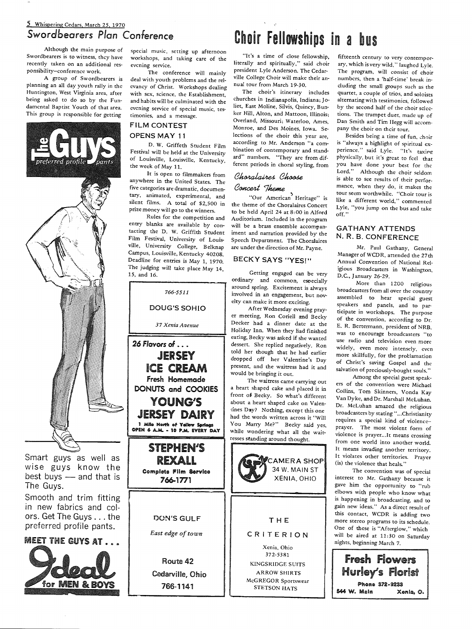#### 5 Whispering Cedars, March 25, 1970 Swordbeorers *Plan* Conference

Although the main purpose of Swordbearers is to witness, they have recently taken on an additional responsibility-conference work.

A group of Swordbearers is <sup>p</sup>lanning an all day youth rally in the Huntington, West Virginia area, after being asked to do so by the Fundamental Baptist Youth of that area. This group is responsible for getting



Smart guys as well as wise guys know the best buys  $-$  and that is The Guys.

Smooth and trim fitting in new fabrics and colors. Get The Guys ... the preferred profile pants.

MEET THE GUYS AT ....



special music, setting up afternoon workshops, and raking care of the evening service.

The conference will mainly deal with youth problems and the relevancy of Christ. Workshops dealing with sex, science, the Establishment, and habits will be culminated with the evening service of special music, testimonies, and a message.

#### FILM CONTEST OPENS MAY 11

D. W. Griffeth Student Film Festival will be held at the University of Louisville, Louisville, Kentucky, the week of May 11.

It is open to filmmakers from anywhere in the United States. The five categories are dramatic, documentary, animated, experimental, and silent films. A total of \$2,500 in prize money will go to the winners.

Rules for the competition and entry blanks are available by contacting the D. W. Griffith Student Film Festival, University of Louisville, University College, Belknap Campus, Louisville, Kentucky 40208. Deadline for entries is May 1, 1970. The judging will take place May 14, 15, and 16.



# Choir Fellowships in a bus

"It's a time of close fellowship, literally and spiritually," said choir president Lyle Anderson. The Cedarville College Choir will make their annual tour from March 19-30.

The choir's itinerary includes churches in Indianapolis, Indiana; Joliet, East Moline, Silvis, Quincy, Bunker Hill, Alton, and Mattoon, Illinois; Overland, Missouri; Waterloo, Ames, Monroe, and Des Moines, Iowa. Selections of the choir this year are, according to Mr. Anderson "a combination of contemporary and standard" numbers. "They are from different periods in choral styling, from

#### Choralaires Choose Concert Theme

"Our American Heritage" is the theme of the Choralaires Concert ro be held April 24 at 8:00 in Alford Auditorium. Included in the program will be a brass ensemble accompaniment and narration provided by the Speech Department. The Choralaires are under the direction of Mr. Payne.

#### BECKY SAYS "YES!"

Getting engaged can be very ordinary and common, esoecially around spring. Excitement is always involved in an engagement, but nov-<br>elty can make it more exciting.

After Wednesday evening prayer meeting, Ron Coriell and Becky Decker had a dinner date at the Holiday Inn. When they had finished eating, Becky was asked if she wanted dessert. She replied negatively. Ron told her though that he had earlier dropped off her Valentine's Day present, and the waitress had it and would be bringing it out.

The waitress came carrying out a heart shaped cake and placed it in front of Becky. So what's different about a heart shaped cake on Valencines Day? Nothing, except this one had the words written across it "Will You Marry Me?" Becky said yes, while wondering what all the waitresses standing around thought.



STETSON HATS

fifteenth century to very contemporary, which is very wild," laughed Lyle. The program, will consist of choir numbers, then a 'half-time' break including the small groups such as the quartet, a couple of trios, and soloists alternating with testimonies, followed by the second half of the choir selections. The trumpet duet, made up of Dan Smith and Tim Hegg will accompany the choir on their tour.

Besides being a time of fun, choir is "always a highlight of spiritual experience." said Lyle. "It's taxing <sup>p</sup>hysically, but it's great to feel that you have done your best for the Lord." Although the choir seldom is able to see results of their performance, when they do, it makes the tour seem worthwhile. "Choir tour is like a different world," commented Lyle, "you jump on the bus and take off."

#### GATHANY ATTENDS N.R.B.CONFERENCE

Mr. Paul Gathany, General Manager of WCDR, attended the 27th Annual Convention of National Religious Broadcasters in Washington, D.C., January 26-29.

More than 1200 religious broadcasters from all over the country assembled to hear special guest speakers and panels, and to participate in workshops. The purpose of the convention, according to Dr. E. R. Bertermann, president of NRB, was to encourage broadcasters "to use radio and television even more widely, even more intensely, even more skillfully, for the problamation of Christ's saving Gospel and the salvation of preciously-bought souls."

Among the special guest speakers of the convention were Michael Collins, Tom Skinners, Vonda Kay Van Dyke, and Dr. Marshall McLuhan. Dr. McLuhan amazed the religious broadcasters by stating "... Christianity requires a special kind of violence- prayer. The most violent form of violence is prayer... It means crossing from one world into another world. It means invading another territory. It violates other territories. Prayer (is) the violence that heals."

The convention was of special interest to Mr. Gathany because it gave him the opportunity to "rub elbows with people who know what is happening in broadcasting, and to gain new ideas." As a direct result of this contact, WCDR is adding two more stereo programs to its schedule. One of these is "Afterglow," which will be aired at 11:30 on Saturday nights, beginning March 7.